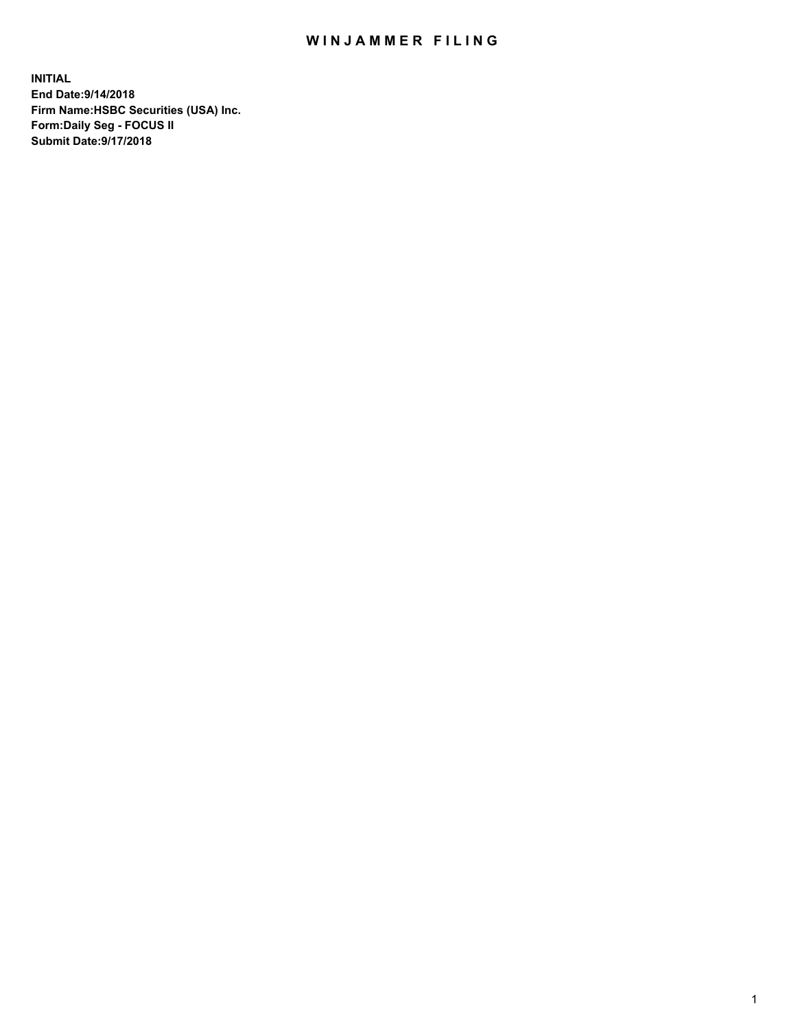## WIN JAMMER FILING

**INITIAL End Date:9/14/2018 Firm Name:HSBC Securities (USA) Inc. Form:Daily Seg - FOCUS II Submit Date:9/17/2018**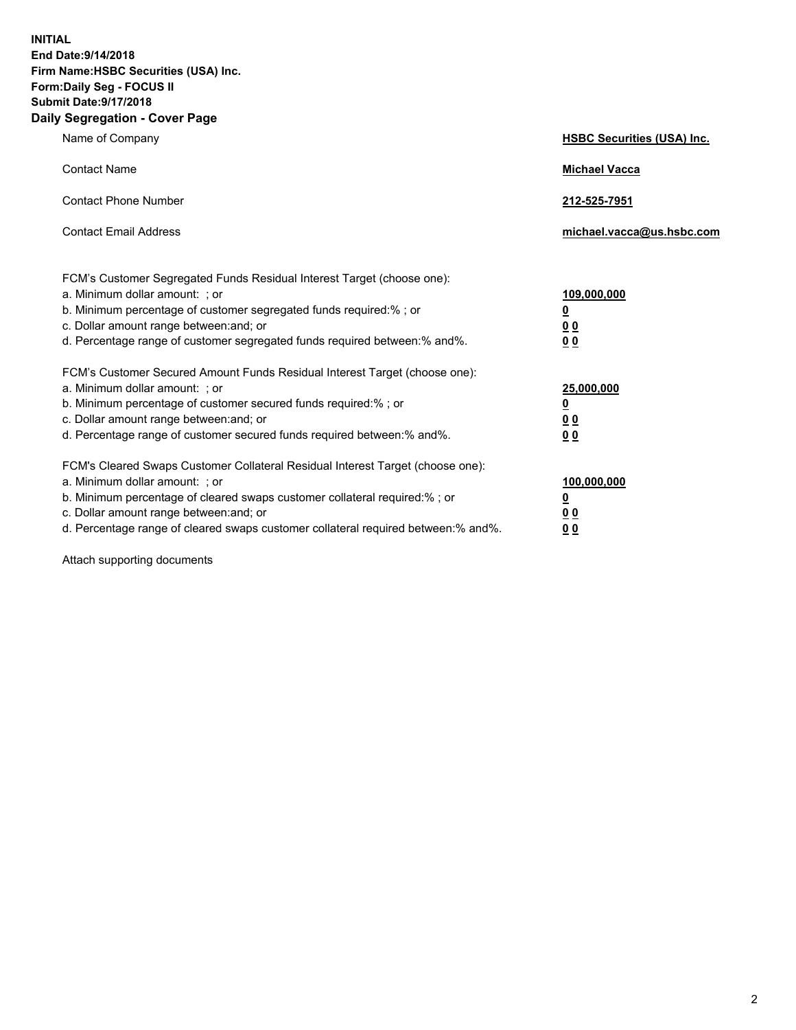**INITIAL End Date:9/14/2018 Firm Name:HSBC Securities (USA) Inc. Form:Daily Seg - FOCUS II Submit Date:9/17/2018 Daily Segregation - Cover Page**

| Name of Company                                                                                                                                                                                                                                                                                                                | <b>HSBC Securities (USA) Inc.</b>                                          |
|--------------------------------------------------------------------------------------------------------------------------------------------------------------------------------------------------------------------------------------------------------------------------------------------------------------------------------|----------------------------------------------------------------------------|
| <b>Contact Name</b>                                                                                                                                                                                                                                                                                                            | <b>Michael Vacca</b>                                                       |
| <b>Contact Phone Number</b>                                                                                                                                                                                                                                                                                                    | 212-525-7951                                                               |
| <b>Contact Email Address</b>                                                                                                                                                                                                                                                                                                   | michael.vacca@us.hsbc.com                                                  |
| FCM's Customer Segregated Funds Residual Interest Target (choose one):<br>a. Minimum dollar amount: : or<br>b. Minimum percentage of customer segregated funds required:% ; or<br>c. Dollar amount range between: and; or<br>d. Percentage range of customer segregated funds required between:% and%.                         | 109,000,000<br>$\overline{\mathbf{0}}$<br>0 <sub>0</sub><br>0 <sub>0</sub> |
| FCM's Customer Secured Amount Funds Residual Interest Target (choose one):<br>a. Minimum dollar amount: ; or<br>b. Minimum percentage of customer secured funds required:%; or<br>c. Dollar amount range between: and; or<br>d. Percentage range of customer secured funds required between:% and%.                            | 25,000,000<br>$\overline{\mathbf{0}}$<br>0 <sub>0</sub><br>0 <sub>0</sub>  |
| FCM's Cleared Swaps Customer Collateral Residual Interest Target (choose one):<br>a. Minimum dollar amount: ; or<br>b. Minimum percentage of cleared swaps customer collateral required:% ; or<br>c. Dollar amount range between: and; or<br>d. Percentage range of cleared swaps customer collateral required between:% and%. | 100,000,000<br>$\overline{\mathbf{0}}$<br>0 <sub>0</sub><br>0 <sub>0</sub> |

Attach supporting documents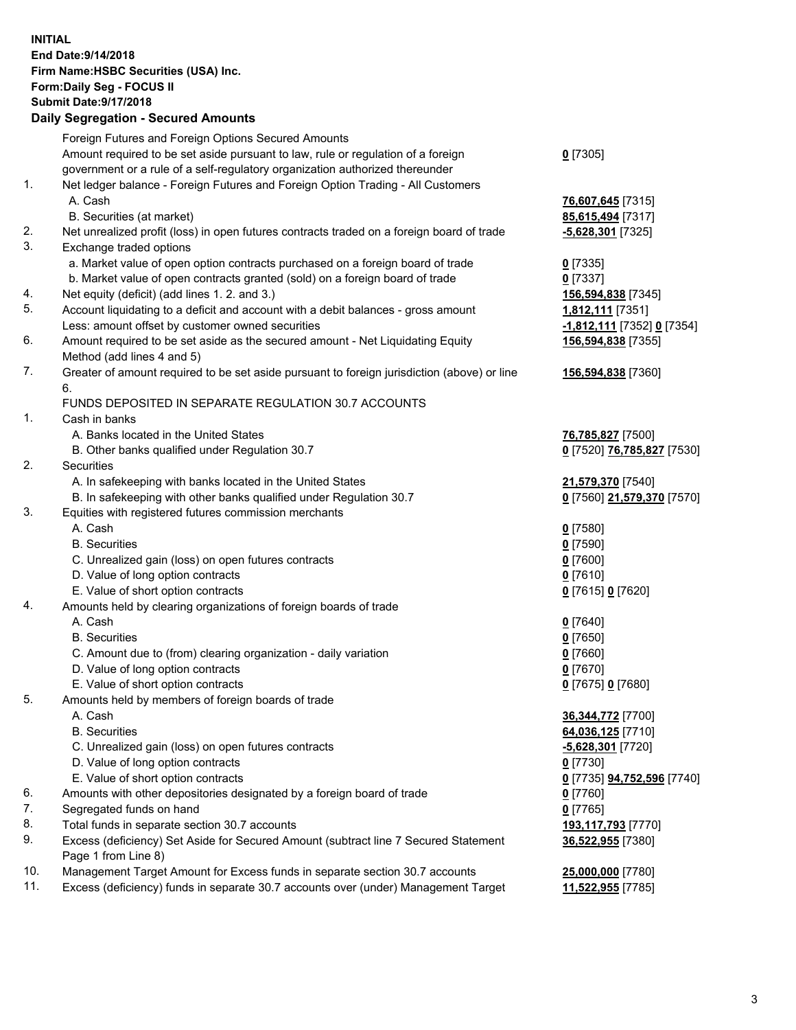**INITIAL End Date:9/14/2018 Firm Name:HSBC Securities (USA) Inc. Form:Daily Seg - FOCUS II Submit Date:9/17/2018 Daily Segregation - Secured Amounts** Foreign Futures and Foreign Options Secured Amounts Amount required to be set aside pursuant to law, rule or regulation of a foreign government or a rule of a self-regulatory organization authorized thereunder **0** [7305] 1. Net ledger balance - Foreign Futures and Foreign Option Trading - All Customers A. Cash **76,607,645** [7315] B. Securities (at market) **85,615,494** [7317] 2. Net unrealized profit (loss) in open futures contracts traded on a foreign board of trade **-5,628,301** [7325] 3. Exchange traded options a. Market value of open option contracts purchased on a foreign board of trade **0** [7335] b. Market value of open contracts granted (sold) on a foreign board of trade **0** [7337] 4. Net equity (deficit) (add lines 1. 2. and 3.) **156,594,838** [7345] 5. Account liquidating to a deficit and account with a debit balances - gross amount **1,812,111** [7351] Less: amount offset by customer owned securities **-1,812,111** [7352] **0** [7354] 6. Amount required to be set aside as the secured amount - Net Liquidating Equity Method (add lines 4 and 5) **156,594,838** [7355] 7. Greater of amount required to be set aside pursuant to foreign jurisdiction (above) or line 6. **156,594,838** [7360] FUNDS DEPOSITED IN SEPARATE REGULATION 30.7 ACCOUNTS 1. Cash in banks A. Banks located in the United States **76,785,827** [7500] B. Other banks qualified under Regulation 30.7 **0** [7520] **76,785,827** [7530] 2. Securities A. In safekeeping with banks located in the United States **21,579,370** [7540] B. In safekeeping with other banks qualified under Regulation 30.7 **0** [7560] **21,579,370** [7570] 3. Equities with registered futures commission merchants A. Cash **0** [7580] B. Securities **0** [7590] C. Unrealized gain (loss) on open futures contracts **0** [7600] D. Value of long option contracts **0** [7610] E. Value of short option contracts **0** [7615] **0** [7620] 4. Amounts held by clearing organizations of foreign boards of trade A. Cash **0** [7640] B. Securities **0** [7650] C. Amount due to (from) clearing organization - daily variation **0** [7660] D. Value of long option contracts **0** [7670] E. Value of short option contracts **0** [7675] **0** [7680] 5. Amounts held by members of foreign boards of trade A. Cash **36,344,772** [7700] B. Securities **64,036,125** [7710] C. Unrealized gain (loss) on open futures contracts **-5,628,301** [7720] D. Value of long option contracts **0** [7730] E. Value of short option contracts **0** [7735] **94,752,596** [7740] 6. Amounts with other depositories designated by a foreign board of trade **0** [7760] 7. Segregated funds on hand **0** [7765]

- 
- 8. Total funds in separate section 30.7 accounts **193,117,793** [7770]

9. Excess (deficiency) Set Aside for Secured Amount (subtract line 7 Secured Statement Page 1 from Line 8)

10. Management Target Amount for Excess funds in separate section 30.7 accounts **25,000,000** [7780]

11. Excess (deficiency) funds in separate 30.7 accounts over (under) Management Target **11,522,955** [7785]

**36,522,955** [7380]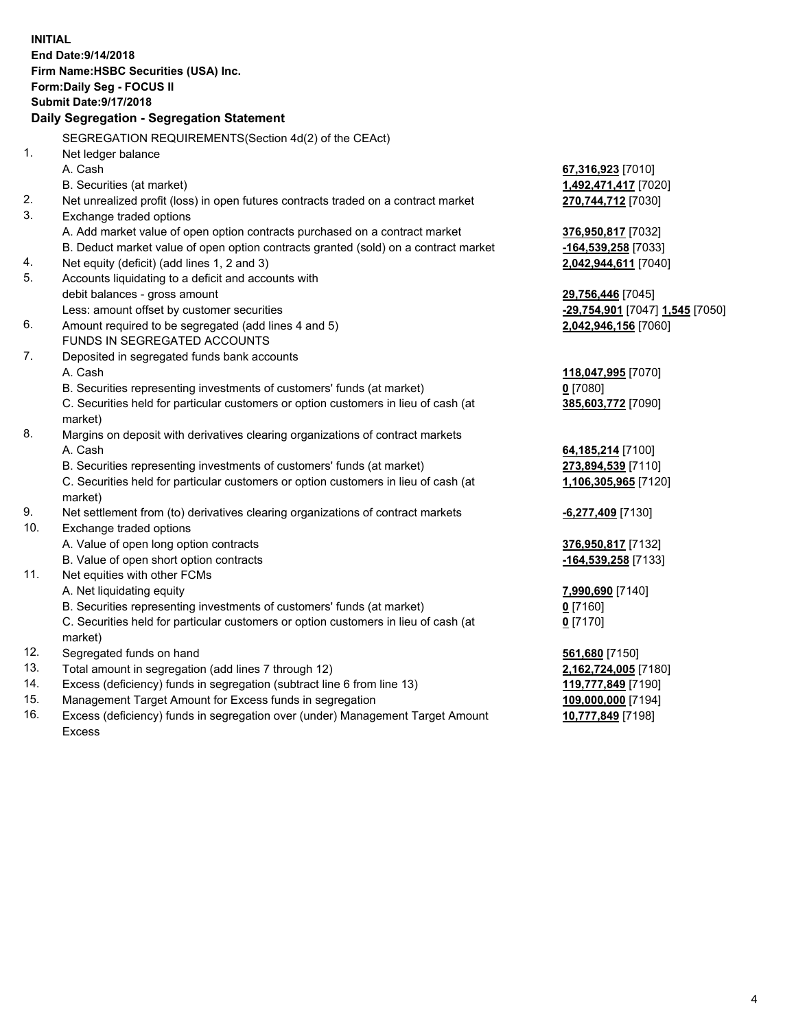**INITIAL End Date:9/14/2018 Firm Name:HSBC Securities (USA) Inc. Form:Daily Seg - FOCUS II Submit Date:9/17/2018 Daily Segregation - Segregation Statement** SEGREGATION REQUIREMENTS(Section 4d(2) of the CEAct) 1. Net ledger balance A. Cash **67,316,923** [7010] B. Securities (at market) **1,492,471,417** [7020] 2. Net unrealized profit (loss) in open futures contracts traded on a contract market **270,744,712** [7030] 3. Exchange traded options A. Add market value of open option contracts purchased on a contract market **376,950,817** [7032] B. Deduct market value of open option contracts granted (sold) on a contract market **-164,539,258** [7033] 4. Net equity (deficit) (add lines 1, 2 and 3) **2,042,944,611** [7040] 5. Accounts liquidating to a deficit and accounts with debit balances - gross amount **29,756,446** [7045] Less: amount offset by customer securities **-29,754,901** [7047] **1,545** [7050] 6. Amount required to be segregated (add lines 4 and 5) **2,042,946,156** [7060] FUNDS IN SEGREGATED ACCOUNTS 7. Deposited in segregated funds bank accounts A. Cash **118,047,995** [7070] B. Securities representing investments of customers' funds (at market) **0** [7080] C. Securities held for particular customers or option customers in lieu of cash (at market) **385,603,772** [7090] 8. Margins on deposit with derivatives clearing organizations of contract markets A. Cash **64,185,214** [7100] B. Securities representing investments of customers' funds (at market) **273,894,539** [7110] C. Securities held for particular customers or option customers in lieu of cash (at market) **1,106,305,965** [7120] 9. Net settlement from (to) derivatives clearing organizations of contract markets **-6,277,409** [7130] 10. Exchange traded options A. Value of open long option contracts **376,950,817** [7132] B. Value of open short option contracts **-164,539,258** [7133] 11. Net equities with other FCMs A. Net liquidating equity **7,990,690** [7140] B. Securities representing investments of customers' funds (at market) **0** [7160] C. Securities held for particular customers or option customers in lieu of cash (at market) **0** [7170] 12. Segregated funds on hand **561,680** [7150] 13. Total amount in segregation (add lines 7 through 12) **2,162,724,005** [7180] 14. Excess (deficiency) funds in segregation (subtract line 6 from line 13) **119,777,849** [7190] 15. Management Target Amount for Excess funds in segregation **109,000,000** [7194] 16. Excess (deficiency) funds in segregation over (under) Management Target Amount **10,777,849** [7198]

Excess